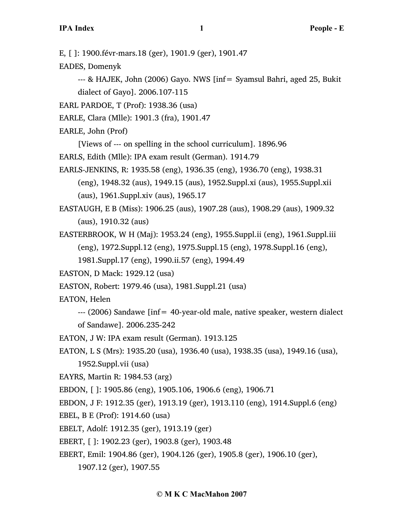E, [ ]: 1900.févr-mars.18 (ger), 1901.9 (ger), 1901.47

EADES, Domenyk

--- & HAJEK, John (2006) Gayo. NWS [inf= Syamsul Bahri, aged 25, Bukit dialect of Gayo]. 2006.107-115

EARL PARDOE, T (Prof): 1938.36 (usa)

EARLE, Clara (Mlle): 1901.3 (fra), 1901.47

EARLE, John (Prof)

[Views of --- on spelling in the school curriculum]. 1896.96

EARLS, Edith (Mlle): IPA exam result (German). 1914.79

EARLS-JENKINS, R: 1935.58 (eng), 1936.35 (eng), 1936.70 (eng), 1938.31

(eng), 1948.32 (aus), 1949.15 (aus), 1952.Suppl.xi (aus), 1955.Suppl.xii (aus), 1961.Suppl.xiv (aus), 1965.17

EASTAUGH, E B (Miss): 1906.25 (aus), 1907.28 (aus), 1908.29 (aus), 1909.32 (aus), 1910.32 (aus)

EASTERBROOK, W H (Maj): 1953.24 (eng), 1955.Suppl.ii (eng), 1961.Suppl.iii (eng), 1972.Suppl.12 (eng), 1975.Suppl.15 (eng), 1978.Suppl.16 (eng),

1981.Suppl.17 (eng), 1990.ii.57 (eng), 1994.49

EASTON, D Mack: 1929.12 (usa)

EASTON, Robert: 1979.46 (usa), 1981.Suppl.21 (usa)

EATON, Helen

--- (2006) Sandawe [inf= 40-year-old male, native speaker, western dialect of Sandawe]. 2006.235-242

EATON, J W: IPA exam result (German). 1913.125

EATON, L S (Mrs): 1935.20 (usa), 1936.40 (usa), 1938.35 (usa), 1949.16 (usa), 1952.Suppl.vii (usa)

EAYRS, Martin R: 1984.53 (arg)

EBDON, [ ]: 1905.86 (eng), 1905.106, 1906.6 (eng), 1906.71

EBDON, J F: 1912.35 (ger), 1913.19 (ger), 1913.110 (eng), 1914.Suppl.6 (eng)

EBEL, B E (Prof): 1914.60 (usa)

EBELT, Adolf: 1912.35 (ger), 1913.19 (ger)

EBERT, [ ]: 1902.23 (ger), 1903.8 (ger), 1903.48

EBERT, Emil: 1904.86 (ger), 1904.126 (ger), 1905.8 (ger), 1906.10 (ger),

1907.12 (ger), 1907.55

# **© M K C MacMahon 2007**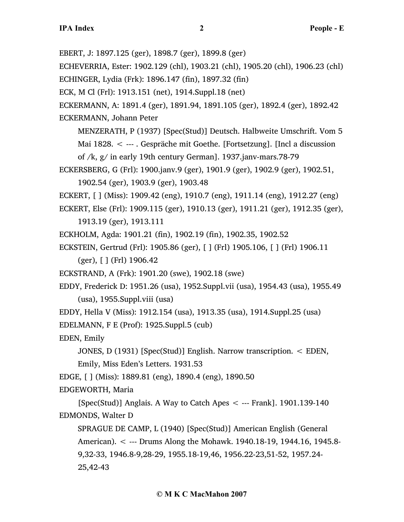EBERT, J: 1897.125 (ger), 1898.7 (ger), 1899.8 (ger)

ECHEVERRIA, Ester: 1902.129 (chl), 1903.21 (chl), 1905.20 (chl), 1906.23 (chl)

ECHINGER, Lydia (Frk): 1896.147 (fin), 1897.32 (fin)

ECK, M Cl (Frl): 1913.151 (net), 1914.Suppl.18 (net)

ECKERMANN, A: 1891.4 (ger), 1891.94, 1891.105 (ger), 1892.4 (ger), 1892.42 ECKERMANN, Johann Peter

MENZERATH, P (1937) [Spec(Stud)] Deutsch. Halbweite Umschrift. Vom 5

Mai 1828. < --- . Gespräche mit Goethe. [Fortsetzung]. [Incl a discussion of /k, g/ in early 19th century German]. 1937.janv-mars.78-79

ECKERSBERG, G (Frl): 1900.janv.9 (ger), 1901.9 (ger), 1902.9 (ger), 1902.51, 1902.54 (ger), 1903.9 (ger), 1903.48

ECKERT, [ ] (Miss): 1909.42 (eng), 1910.7 (eng), 1911.14 (eng), 1912.27 (eng)

ECKERT, Else (Frl): 1909.115 (ger), 1910.13 (ger), 1911.21 (ger), 1912.35 (ger),

1913.19 (ger), 1913.111

ECKHOLM, Agda: 1901.21 (fin), 1902.19 (fin), 1902.35, 1902.52

ECKSTEIN, Gertrud (Frl): 1905.86 (ger), [ ] (Frl) 1905.106, [ ] (Frl) 1906.11

(ger), [ ] (Frl) 1906.42

ECKSTRAND, A (Frk): 1901.20 (swe), 1902.18 (swe)

EDDY, Frederick D: 1951.26 (usa), 1952.Suppl.vii (usa), 1954.43 (usa), 1955.49 (usa), 1955.Suppl.viii (usa)

EDDY, Hella V (Miss): 1912.154 (usa), 1913.35 (usa), 1914.Suppl.25 (usa)

EDELMANN, F E (Prof): 1925.Suppl.5 (cub)

EDEN, Emily

JONES, D (1931) [Spec(Stud)] English. Narrow transcription. < EDEN, Emily, Miss Eden's Letters. 1931.53

EDGE, [ ] (Miss): 1889.81 (eng), 1890.4 (eng), 1890.50

EDGEWORTH, Maria

[Spec(Stud)] Anglais. A Way to Catch Apes  $\lt$  --- Frank]. 1901.139-140 EDMONDS, Walter D

SPRAGUE DE CAMP, L (1940) [Spec(Stud)] American English (General American). < --- Drums Along the Mohawk. 1940.18-19, 1944.16, 1945.8- 9,32-33, 1946.8-9,28-29, 1955.18-19,46, 1956.22-23,51-52, 1957.24- 25,42-43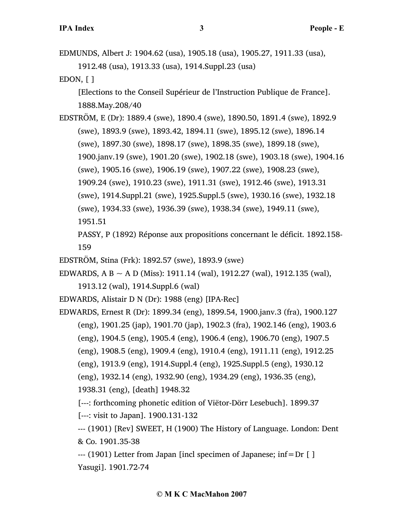EDMUNDS, Albert J: 1904.62 (usa), 1905.18 (usa), 1905.27, 1911.33 (usa), 1912.48 (usa), 1913.33 (usa), 1914.Suppl.23 (usa)

EDON, [ ]

[Elections to the Conseil Supérieur de l'Instruction Publique de France]. 1888.May.208/40

EDSTRÖM, E (Dr): 1889.4 (swe), 1890.4 (swe), 1890.50, 1891.4 (swe), 1892.9 (swe), 1893.9 (swe), 1893.42, 1894.11 (swe), 1895.12 (swe), 1896.14 (swe), 1897.30 (swe), 1898.17 (swe), 1898.35 (swe), 1899.18 (swe), 1900.janv.19 (swe), 1901.20 (swe), 1902.18 (swe), 1903.18 (swe), 1904.16 (swe), 1905.16 (swe), 1906.19 (swe), 1907.22 (swe), 1908.23 (swe), 1909.24 (swe), 1910.23 (swe), 1911.31 (swe), 1912.46 (swe), 1913.31 (swe), 1914.Suppl.21 (swe), 1925.Suppl.5 (swe), 1930.16 (swe), 1932.18 (swe), 1934.33 (swe), 1936.39 (swe), 1938.34 (swe), 1949.11 (swe), 1951.51

PASSY, P (1892) Réponse aux propositions concernant le déficit. 1892.158- 159

EDSTRÖM, Stina (Frk): 1892.57 (swe), 1893.9 (swe)

EDWARDS, A B  $\sim$  A D (Miss): 1911.14 (wal), 1912.27 (wal), 1912.135 (wal),

1913.12 (wal), 1914.Suppl.6 (wal)

EDWARDS, Alistair D N (Dr): 1988 (eng) [IPA-Rec]

EDWARDS, Ernest R (Dr): 1899.34 (eng), 1899.54, 1900.janv.3 (fra), 1900.127 (eng), 1901.25 (jap), 1901.70 (jap), 1902.3 (fra), 1902.146 (eng), 1903.6 (eng), 1904.5 (eng), 1905.4 (eng), 1906.4 (eng), 1906.70 (eng), 1907.5 (eng), 1908.5 (eng), 1909.4 (eng), 1910.4 (eng), 1911.11 (eng), 1912.25 (eng), 1913.9 (eng), 1914.Suppl.4 (eng), 1925.Suppl.5 (eng), 1930.12 (eng), 1932.14 (eng), 1932.90 (eng), 1934.29 (eng), 1936.35 (eng), 1938.31 (eng), [death] 1948.32

[---: forthcoming phonetic edition of Viëtor-Dörr Lesebuch]. 1899.37

[---: visit to Japan]. 1900.131-132

--- (1901) [Rev] SWEET, H (1900) The History of Language. London: Dent & Co. 1901.35-38

--- (1901) Letter from Japan [incl specimen of Japanese; inf=Dr [ ] Yasugi]. 1901.72-74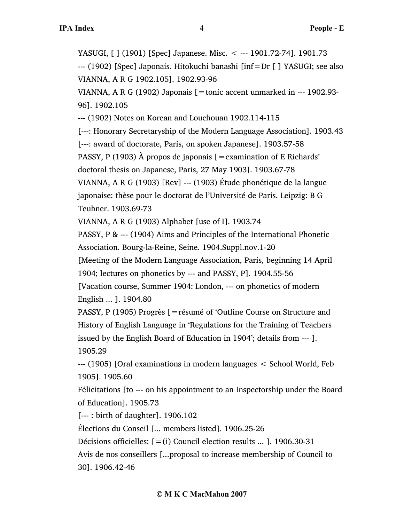YASUGI, [ ] (1901) [Spec] Japanese. Misc. < --- 1901.72-74]. 1901.73 --- (1902) [Spec] Japonais. Hitokuchi banashi [inf=Dr [ ] YASUGI; see also VIANNA, A R G 1902.105]. 1902.93-96 VIANNA, A R G (1902) Japonais  $[$  = tonic accent unmarked in --- 1902.93-96]. 1902.105 --- (1902) Notes on Korean and Louchouan 1902.114-115 [---: Honorary Secretaryship of the Modern Language Association]. 1903.43 [---: award of doctorate, Paris, on spoken Japanese]. 1903.57-58 PASSY, P (1903)  $\hat{A}$  propos de japonais  $\hat{z}$  = examination of E Richards' doctoral thesis on Japanese, Paris, 27 May 1903]. 1903.67-78 VIANNA, A R G (1903) [Rev] --- (1903) Étude phonétique de la langue japonaise: thèse pour le doctorat de l'Université de Paris. Leipzig: B G Teubner. 1903.69-73 VIANNA, A R G (1903) Alphabet [use of I]. 1903.74 PASSY, P & --- (1904) Aims and Principles of the International Phonetic Association. Bourg-la-Reine, Seine. 1904.Suppl.nov.1-20 [Meeting of the Modern Language Association, Paris, beginning 14 April 1904; lectures on phonetics by --- and PASSY, P]. 1904.55-56 [Vacation course, Summer 1904: London, --- on phonetics of modern English ... ]. 1904.80 PASSY, P (1905) Progrès [=résumé of 'Outline Course on Structure and History of English Language in 'Regulations for the Training of Teachers issued by the English Board of Education in 1904'; details from --- ]. 1905.29 --- (1905) [Oral examinations in modern languages < School World, Feb 1905]. 1905.60 Félicitations [to --- on his appointment to an Inspectorship under the Board of Education]. 1905.73 [--- : birth of daughter]. 1906.102

Élections du Conseil [... members listed]. 1906.25-26

Décisions officielles:  $[=(i)$  Council election results ... ]. 1906.30-31

Avis de nos conseillers [...proposal to increase membership of Council to 30]. 1906.42-46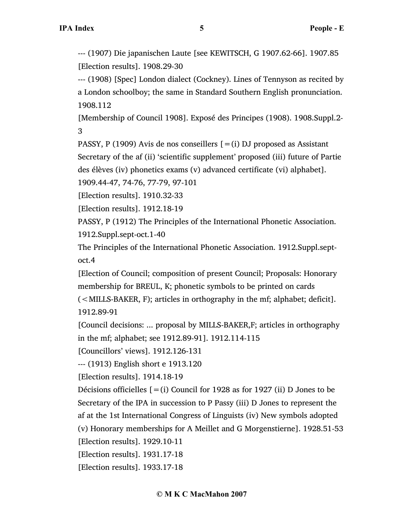--- (1907) Die japanischen Laute [see KEWITSCH, G 1907.62-66]. 1907.85 [Election results]. 1908.29-30

--- (1908) [Spec] London dialect (Cockney). Lines of Tennyson as recited by a London schoolboy; the same in Standard Southern English pronunciation. 1908.112

[Membership of Council 1908]. Exposé des Principes (1908). 1908.Suppl.2- 3

PASSY, P (1909) Avis de nos conseillers  $[=(i)$  DJ proposed as Assistant Secretary of the af (ii) 'scientific supplement' proposed (iii) future of Partie des élèves (iv) phonetics exams (v) advanced certificate (vi) alphabet].

1909.44-47, 74-76, 77-79, 97-101

[Election results]. 1910.32-33

[Election results]. 1912.18-19

PASSY, P (1912) The Principles of the International Phonetic Association. 1912.Suppl.sept-oct.1-40

The Principles of the International Phonetic Association. 1912.Suppl.septoct.4

[Election of Council; composition of present Council; Proposals: Honorary membership for BREUL, K; phonetic symbols to be printed on cards (<MILLS-BAKER, F); articles in orthography in the mf; alphabet; deficit]. 1912.89-91

[Council decisions: ... proposal by MILLS-BAKER,F; articles in orthography in the mf; alphabet; see 1912.89-91]. 1912.114-115

[Councillors' views]. 1912.126-131

--- (1913) English short e 1913.120

[Election results]. 1914.18-19

Décisions officielles  $[=(i)$  Council for 1928 as for 1927 (ii) D Jones to be Secretary of the IPA in succession to P Passy (iii) D Jones to represent the af at the 1st International Congress of Linguists (iv) New symbols adopted (v) Honorary memberships for A Meillet and G Morgenstierne]. 1928.51-53

[Election results]. 1929.10-11

[Election results]. 1931.17-18

[Election results]. 1933.17-18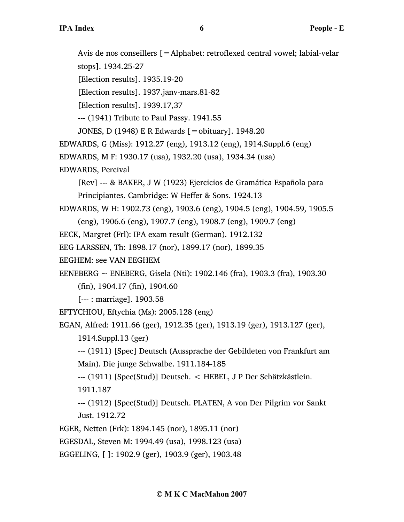Avis de nos conseillers [=Alphabet: retroflexed central vowel; labial-velar stops]. 1934.25-27

[Election results]. 1935.19-20

[Election results]. 1937.janv-mars.81-82

[Election results]. 1939.17,37

--- (1941) Tribute to Paul Passy. 1941.55

JONES, D (1948) E R Edwards [=obituary]. 1948.20

EDWARDS, G (Miss): 1912.27 (eng), 1913.12 (eng), 1914.Suppl.6 (eng)

EDWARDS, M F: 1930.17 (usa), 1932.20 (usa), 1934.34 (usa)

EDWARDS, Percival

[Rev] --- & BAKER, J W (1923) Ejercicios de Gramática Española para Principiantes. Cambridge: W Heffer & Sons. 1924.13

```
EDWARDS, W H: 1902.73 (eng), 1903.6 (eng), 1904.5 (eng), 1904.59, 1905.5
```
(eng), 1906.6 (eng), 1907.7 (eng), 1908.7 (eng), 1909.7 (eng)

EECK, Margret (Frl): IPA exam result (German). 1912.132

EEG LARSSEN, Th: 1898.17 (nor), 1899.17 (nor), 1899.35

EEGHEM: see VAN EEGHEM

EENEBERG  $\sim$  ENEBERG, Gisela (Nti): 1902.146 (fra), 1903.3 (fra), 1903.30

(fin), 1904.17 (fin), 1904.60

[--- : marriage]. 1903.58

EFTYCHIOU, Eftychia (Ms): 2005.128 (eng)

EGAN, Alfred: 1911.66 (ger), 1912.35 (ger), 1913.19 (ger), 1913.127 (ger),

1914.Suppl.13 (ger)

--- (1911) [Spec] Deutsch (Aussprache der Gebildeten von Frankfurt am Main). Die junge Schwalbe. 1911.184-185

--- (1911) [Spec(Stud)] Deutsch. < HEBEL, J P Der Schätzkästlein. 1911.187

--- (1912) [Spec(Stud)] Deutsch. PLATEN, A von Der Pilgrim vor Sankt Just. 1912.72

EGER, Netten (Frk): 1894.145 (nor), 1895.11 (nor)

EGESDAL, Steven M: 1994.49 (usa), 1998.123 (usa)

EGGELING, [ ]: 1902.9 (ger), 1903.9 (ger), 1903.48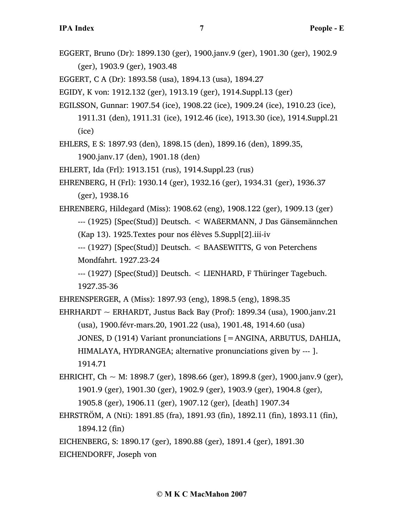EGGERT, Bruno (Dr): 1899.130 (ger), 1900.janv.9 (ger), 1901.30 (ger), 1902.9 (ger), 1903.9 (ger), 1903.48

EGGERT, C A (Dr): 1893.58 (usa), 1894.13 (usa), 1894.27

EGIDY, K von: 1912.132 (ger), 1913.19 (ger), 1914.Suppl.13 (ger)

EGILSSON, Gunnar: 1907.54 (ice), 1908.22 (ice), 1909.24 (ice), 1910.23 (ice),

1911.31 (den), 1911.31 (ice), 1912.46 (ice), 1913.30 (ice), 1914.Suppl.21 (ice)

EHLERS, E S: 1897.93 (den), 1898.15 (den), 1899.16 (den), 1899.35,

1900.janv.17 (den), 1901.18 (den)

EHLERT, Ida (Frl): 1913.151 (rus), 1914.Suppl.23 (rus)

EHRENBERG, H (Frl): 1930.14 (ger), 1932.16 (ger), 1934.31 (ger), 1936.37 (ger), 1938.16

EHRENBERG, Hildegard (Miss): 1908.62 (eng), 1908.122 (ger), 1909.13 (ger) --- (1925) [Spec(Stud)] Deutsch. < WAßERMANN, J Das Gänsemännchen

(Kap 13). 1925.Textes pour nos élèves 5.Suppl[2].iii-iv

--- (1927) [Spec(Stud)] Deutsch. < BAASEWITTS, G von Peterchens Mondfahrt. 1927.23-24

--- (1927) [Spec(Stud)] Deutsch. < LIENHARD, F Thüringer Tagebuch. 1927.35-36

EHRENSPERGER, A (Miss): 1897.93 (eng), 1898.5 (eng), 1898.35

EHRHARDT  $\sim$  ERHARDT, Justus Back Bay (Prof): 1899.34 (usa), 1900.janv.21 (usa), 1900.févr-mars.20, 1901.22 (usa), 1901.48, 1914.60 (usa) JONES, D (1914) Variant pronunciations [=ANGINA, ARBUTUS, DAHLIA, HIMALAYA, HYDRANGEA; alternative pronunciations given by --- ]. 1914.71

EHRICHT, Ch ~ M: 1898.7 (ger), 1898.66 (ger), 1899.8 (ger), 1900.janv.9 (ger), 1901.9 (ger), 1901.30 (ger), 1902.9 (ger), 1903.9 (ger), 1904.8 (ger), 1905.8 (ger), 1906.11 (ger), 1907.12 (ger), [death] 1907.34

EHRSTRÖM, A (Nti): 1891.85 (fra), 1891.93 (fin), 1892.11 (fin), 1893.11 (fin), 1894.12 (fin)

EICHENBERG, S: 1890.17 (ger), 1890.88 (ger), 1891.4 (ger), 1891.30

EICHENDORFF, Joseph von

## **© M K C MacMahon 2007**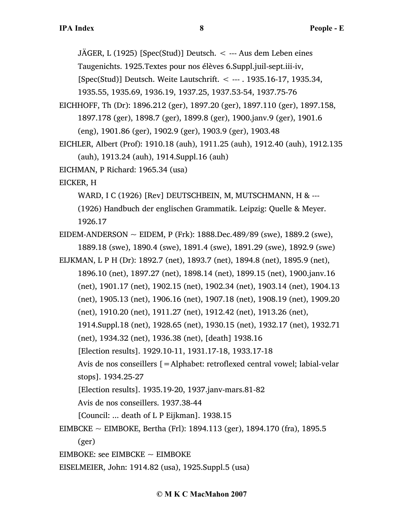JÄGER, L (1925) [Spec(Stud)] Deutsch.  $\lt$  --- Aus dem Leben eines

Taugenichts. 1925.Textes pour nos élèves 6.Suppl.juil-sept.iii-iv,

[Spec(Stud)] Deutsch. Weite Lautschrift. < --- . 1935.16-17, 1935.34,

1935.55, 1935.69, 1936.19, 1937.25, 1937.53-54, 1937.75-76

- EICHHOFF, Th (Dr): 1896.212 (ger), 1897.20 (ger), 1897.110 (ger), 1897.158, 1897.178 (ger), 1898.7 (ger), 1899.8 (ger), 1900.janv.9 (ger), 1901.6 (eng), 1901.86 (ger), 1902.9 (ger), 1903.9 (ger), 1903.48
- EICHLER, Albert (Prof): 1910.18 (auh), 1911.25 (auh), 1912.40 (auh), 1912.135 (auh), 1913.24 (auh), 1914.Suppl.16 (auh)

EICHMAN, P Richard: 1965.34 (usa)

EICKER, H

WARD, I C (1926) [Rev] DEUTSCHBEIN, M, MUTSCHMANN, H & ---

(1926) Handbuch der englischen Grammatik. Leipzig: Quelle & Meyer. 1926.17

EIDEM-ANDERSON  $\sim$  EIDEM, P (Frk): 1888.Dec.489/89 (swe), 1889.2 (swe), 1889.18 (swe), 1890.4 (swe), 1891.4 (swe), 1891.29 (swe), 1892.9 (swe)

EIJKMAN, L P H (Dr): 1892.7 (net), 1893.7 (net), 1894.8 (net), 1895.9 (net), 1896.10 (net), 1897.27 (net), 1898.14 (net), 1899.15 (net), 1900.janv.16 (net), 1901.17 (net), 1902.15 (net), 1902.34 (net), 1903.14 (net), 1904.13 (net), 1905.13 (net), 1906.16 (net), 1907.18 (net), 1908.19 (net), 1909.20 (net), 1910.20 (net), 1911.27 (net), 1912.42 (net), 1913.26 (net), 1914.Suppl.18 (net), 1928.65 (net), 1930.15 (net), 1932.17 (net), 1932.71 (net), 1934.32 (net), 1936.38 (net), [death] 1938.16 [Election results]. 1929.10-11, 1931.17-18, 1933.17-18 Avis de nos conseillers [=Alphabet: retroflexed central vowel; labial-velar stops]. 1934.25-27 [Election results]. 1935.19-20, 1937.janv-mars.81-82 Avis de nos conseillers. 1937.38-44

[Council: ... death of L P Eijkman]. 1938.15

EIMBCKE  $\sim$  EIMBOKE, Bertha (Frl): 1894.113 (ger), 1894.170 (fra), 1895.5

(ger)

EIMBOKE: see EIMBCKE  $\sim$  EIMBOKE

EISELMEIER, John: 1914.82 (usa), 1925.Suppl.5 (usa)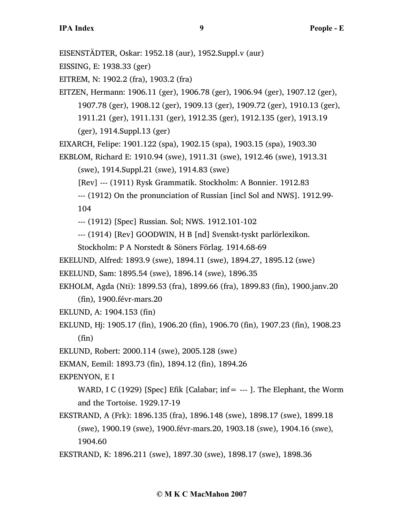EISENSTÄDTER, Oskar: 1952.18 (aur), 1952.Suppl.v (aur)

EISSING, E: 1938.33 (ger)

EITREM, N: 1902.2 (fra), 1903.2 (fra)

EITZEN, Hermann: 1906.11 (ger), 1906.78 (ger), 1906.94 (ger), 1907.12 (ger), 1907.78 (ger), 1908.12 (ger), 1909.13 (ger), 1909.72 (ger), 1910.13 (ger), 1911.21 (ger), 1911.131 (ger), 1912.35 (ger), 1912.135 (ger), 1913.19 (ger), 1914.Suppl.13 (ger)

EIXARCH, Felipe: 1901.122 (spa), 1902.15 (spa), 1903.15 (spa), 1903.30

EKBLOM, Richard E: 1910.94 (swe), 1911.31 (swe), 1912.46 (swe), 1913.31 (swe), 1914.Suppl.21 (swe), 1914.83 (swe)

[Rev] --- (1911) Rysk Grammatik. Stockholm: A Bonnier. 1912.83

--- (1912) On the pronunciation of Russian [incl Sol and NWS]. 1912.99- 104

--- (1912) [Spec] Russian. Sol; NWS. 1912.101-102

--- (1914) [Rev] GOODWIN, H B [nd] Svenskt-tyskt parlörlexikon.

Stockholm: P A Norstedt & Söners Förlag. 1914.68-69

EKELUND, Alfred: 1893.9 (swe), 1894.11 (swe), 1894.27, 1895.12 (swe)

EKELUND, Sam: 1895.54 (swe), 1896.14 (swe), 1896.35

EKHOLM, Agda (Nti): 1899.53 (fra), 1899.66 (fra), 1899.83 (fin), 1900.janv.20

(fin), 1900.févr-mars.20

EKLUND, A: 1904.153 (fin)

EKLUND, Hj: 1905.17 (fin), 1906.20 (fin), 1906.70 (fin), 1907.23 (fin), 1908.23 (fin)

EKLUND, Robert: 2000.114 (swe), 2005.128 (swe)

EKMAN, Eemil: 1893.73 (fin), 1894.12 (fin), 1894.26

EKPENYON, E I

WARD, I C (1929) [Spec] Efik [Calabar; inf  $=$  --- ]. The Elephant, the Worm and the Tortoise. 1929.17-19

EKSTRAND, A (Frk): 1896.135 (fra), 1896.148 (swe), 1898.17 (swe), 1899.18 (swe), 1900.19 (swe), 1900.févr-mars.20, 1903.18 (swe), 1904.16 (swe), 1904.60

EKSTRAND, K: 1896.211 (swe), 1897.30 (swe), 1898.17 (swe), 1898.36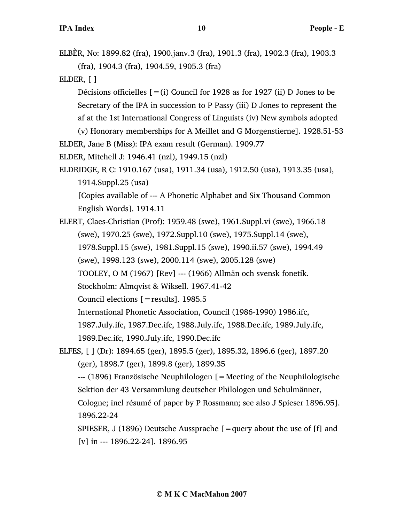ELBÈR, No: 1899.82 (fra), 1900.janv.3 (fra), 1901.3 (fra), 1902.3 (fra), 1903.3 (fra), 1904.3 (fra), 1904.59, 1905.3 (fra)

ELDER, [ ]

Décisions officielles  $[=(i)$  Council for 1928 as for 1927 (ii) D Jones to be Secretary of the IPA in succession to P Passy (iii) D Jones to represent the af at the 1st International Congress of Linguists (iv) New symbols adopted (v) Honorary memberships for A Meillet and G Morgenstierne]. 1928.51-53

ELDER, Jane B (Miss): IPA exam result (German). 1909.77

ELDER, Mitchell J: 1946.41 (nzl), 1949.15 (nzl)

ELDRIDGE, R C: 1910.167 (usa), 1911.34 (usa), 1912.50 (usa), 1913.35 (usa), 1914.Suppl.25 (usa) [Copies available of --- A Phonetic Alphabet and Six Thousand Common

English Words]. 1914.11

ELERT, Claes-Christian (Prof): 1959.48 (swe), 1961.Suppl.vi (swe), 1966.18 (swe), 1970.25 (swe), 1972.Suppl.10 (swe), 1975.Suppl.14 (swe), 1978.Suppl.15 (swe), 1981.Suppl.15 (swe), 1990.ii.57 (swe), 1994.49

(swe), 1998.123 (swe), 2000.114 (swe), 2005.128 (swe)

TOOLEY, O M (1967) [Rev] --- (1966) Allmän och svensk fonetik.

Stockholm: Almqvist & Wiksell. 1967.41-42

Council elections [=results]. 1985.5

International Phonetic Association, Council (1986-1990) 1986.ifc,

1987.July.ifc, 1987.Dec.ifc, 1988.July.ifc, 1988.Dec.ifc, 1989.July.ifc,

1989.Dec.ifc, 1990.July.ifc, 1990.Dec.ifc

ELFES, [ ] (Dr): 1894.65 (ger), 1895.5 (ger), 1895.32, 1896.6 (ger), 1897.20 (ger), 1898.7 (ger), 1899.8 (ger), 1899.35

--- (1896) Französische Neuphilologen [=Meeting of the Neuphilologische Sektion der 43 Versammlung deutscher Philologen und Schulmänner, Cologne; incl résumé of paper by P Rossmann; see also J Spieser 1896.95]. 1896.22-24

SPIESER, J (1896) Deutsche Aussprache  $[$  = query about the use of  $[f]$  and [v] in --- 1896.22-24]. 1896.95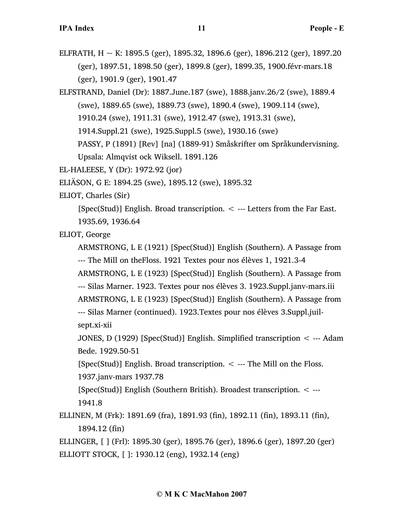ELFRATH,  $H \sim K$ : 1895.5 (ger), 1895.32, 1896.6 (ger), 1896.212 (ger), 1897.20 (ger), 1897.51, 1898.50 (ger), 1899.8 (ger), 1899.35, 1900.févr-mars.18 (ger), 1901.9 (ger), 1901.47

ELFSTRAND, Daniel (Dr): 1887.June.187 (swe), 1888.janv.26/2 (swe), 1889.4 (swe), 1889.65 (swe), 1889.73 (swe), 1890.4 (swe), 1909.114 (swe), 1910.24 (swe), 1911.31 (swe), 1912.47 (swe), 1913.31 (swe), 1914.Suppl.21 (swe), 1925.Suppl.5 (swe), 1930.16 (swe) PASSY, P (1891) [Rev] [na] (1889-91) Småskrifter om Språkundervisning.

Upsala: Almqvist ock Wiksell. 1891.126

EL-HALEESE, Y (Dr): 1972.92 (jor)

ELIÄSON, G E: 1894.25 (swe), 1895.12 (swe), 1895.32

ELIOT, Charles (Sir)

[Spec(Stud)] English. Broad transcription.  $\lt$  --- Letters from the Far East. 1935.69, 1936.64

ELIOT, George

ARMSTRONG, L E (1921) [Spec(Stud)] English (Southern). A Passage from --- The Mill on theFloss. 1921 Textes pour nos élèves 1, 1921.3-4

ARMSTRONG, L E (1923) [Spec(Stud)] English (Southern). A Passage from

--- Silas Marner. 1923. Textes pour nos élèves 3. 1923.Suppl.janv-mars.iii

ARMSTRONG, L E (1923) [Spec(Stud)] English (Southern). A Passage from

--- Silas Marner (continued). 1923.Textes pour nos élèves 3.Suppl.juilsept.xi-xii

JONES, D (1929) [Spec(Stud)] English. Simplified transcription < --- Adam Bede. 1929.50-51

[Spec(Stud)] English. Broad transcription.  $\lt$  --- The Mill on the Floss. 1937.janv-mars 1937.78

[Spec(Stud)] English (Southern British). Broadest transcription. < --- 1941.8

ELLINEN, M (Frk): 1891.69 (fra), 1891.93 (fin), 1892.11 (fin), 1893.11 (fin), 1894.12 (fin)

ELLINGER, [ ] (Frl): 1895.30 (ger), 1895.76 (ger), 1896.6 (ger), 1897.20 (ger) ELLIOTT STOCK, [ ]: 1930.12 (eng), 1932.14 (eng)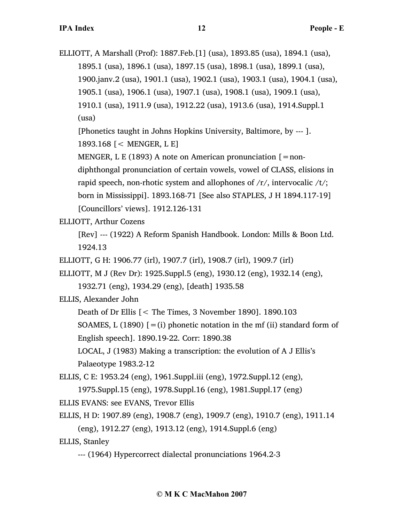ELLIOTT, A Marshall (Prof): 1887.Feb.[1] (usa), 1893.85 (usa), 1894.1 (usa), 1895.1 (usa), 1896.1 (usa), 1897.15 (usa), 1898.1 (usa), 1899.1 (usa), 1900.janv.2 (usa), 1901.1 (usa), 1902.1 (usa), 1903.1 (usa), 1904.1 (usa), 1905.1 (usa), 1906.1 (usa), 1907.1 (usa), 1908.1 (usa), 1909.1 (usa), 1910.1 (usa), 1911.9 (usa), 1912.22 (usa), 1913.6 (usa), 1914.Suppl.1 (usa)

[Phonetics taught in Johns Hopkins University, Baltimore, by --- ].

1893.168 [< MENGER, L E]

MENGER, L E (1893) A note on American pronunciation  $\lceil = \text{non-} \rceil$ 

diphthongal pronunciation of certain vowels, vowel of CLASS, elisions in

rapid speech, non-rhotic system and allophones of  $/r/$ , intervocalic  $/t/$ ;

born in Mississippi]. 1893.168-71 [See also STAPLES, J H 1894.117-19]

[Councillors' views]. 1912.126-131

ELLIOTT, Arthur Cozens

[Rev] --- (1922) A Reform Spanish Handbook. London: Mills & Boon Ltd. 1924.13

ELLIOTT, G H: 1906.77 (irl), 1907.7 (irl), 1908.7 (irl), 1909.7 (irl)

ELLIOTT, M J (Rev Dr): 1925.Suppl.5 (eng), 1930.12 (eng), 1932.14 (eng),

1932.71 (eng), 1934.29 (eng), [death] 1935.58

ELLIS, Alexander John

Death of Dr Ellis [< The Times, 3 November 1890]. 1890.103

SOAMES, L (1890)  $[=(i)]$  phonetic notation in the mf (ii) standard form of English speech]. 1890.19-22. Corr: 1890.38

LOCAL, J (1983) Making a transcription: the evolution of A J Ellis's Palaeotype 1983.2-12

ELLIS, C E: 1953.24 (eng), 1961.Suppl.iii (eng), 1972.Suppl.12 (eng),

1975.Suppl.15 (eng), 1978.Suppl.16 (eng), 1981.Suppl.17 (eng)

ELLIS EVANS: see EVANS, Trevor Ellis

ELLIS, H D: 1907.89 (eng), 1908.7 (eng), 1909.7 (eng), 1910.7 (eng), 1911.14

(eng), 1912.27 (eng), 1913.12 (eng), 1914.Suppl.6 (eng)

ELLIS, Stanley

<sup>---</sup> (1964) Hypercorrect dialectal pronunciations 1964.2-3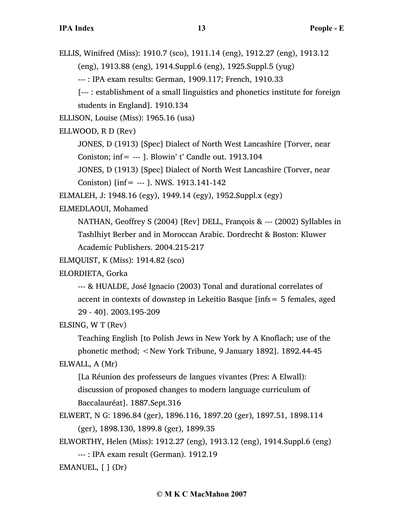ELLIS, Winifred (Miss): 1910.7 (sco), 1911.14 (eng), 1912.27 (eng), 1913.12

(eng), 1913.88 (eng), 1914.Suppl.6 (eng), 1925.Suppl.5 (yug)

--- : IPA exam results: German, 1909.117; French, 1910.33

[--- : establishment of a small linguistics and phonetics institute for foreign students in England]. 1910.134

ELLISON, Louise (Miss): 1965.16 (usa)

ELLWOOD, R D (Rev)

JONES, D (1913) [Spec] Dialect of North West Lancashire [Torver, near Coniston; inf= --- ]. Blowin' t' Candle out. 1913.104

JONES, D (1913) [Spec] Dialect of North West Lancashire (Torver, near

Coniston)  $\text{inf} = -1$ . NWS. 1913.141-142

ELMALEH, J: 1948.16 (egy), 1949.14 (egy), 1952.Suppl.x (egy)

ELMEDLAOUI, Mohamed

NATHAN, Geoffrey S (2004) [Rev] DELL, François & --- (2002) Syllables in Tashlhiyt Berber and in Moroccan Arabic. Dordrecht & Boston: Kluwer Academic Publishers. 2004.215-217

ELMQUIST, K (Miss): 1914.82 (sco)

ELORDIETA, Gorka

--- & HUALDE, José Ignacio (2003) Tonal and durational correlates of accent in contexts of downstep in Lekeitio Basque [infs= 5 females, aged 29 - 40]. 2003.195-209

ELSING, W T (Rev)

Teaching English [to Polish Jews in New York by A Knoflach; use of the phonetic method; <New York Tribune, 9 January 1892]. 1892.44-45 ELWALL, A (Mr)

[La Réunion des professeurs de langues vivantes (Pres: A Elwall): discussion of proposed changes to modern language curriculum of Baccalauréat]. 1887.Sept.316

ELWERT, N G: 1896.84 (ger), 1896.116, 1897.20 (ger), 1897.51, 1898.114 (ger), 1898.130, 1899.8 (ger), 1899.35

ELWORTHY, Helen (Miss): 1912.27 (eng), 1913.12 (eng), 1914.Suppl.6 (eng) --- : IPA exam result (German). 1912.19

EMANUEL, [ ] (Dr)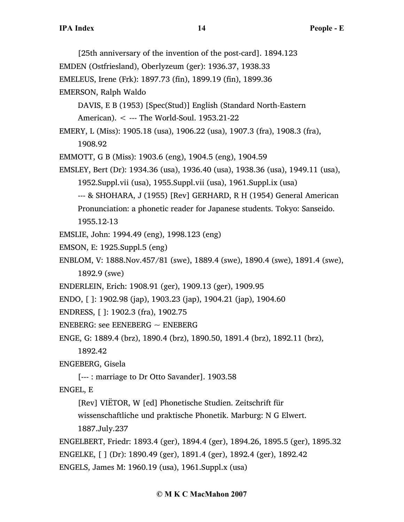[25th anniversary of the invention of the post-card]. 1894.123 EMDEN (Ostfriesland), Oberlyzeum (ger): 1936.37, 1938.33 EMELEUS, Irene (Frk): 1897.73 (fin), 1899.19 (fin), 1899.36 EMERSON, Ralph Waldo DAVIS, E B (1953) [Spec(Stud)] English (Standard North-Eastern American). < --- The World-Soul. 1953.21-22 EMERY, L (Miss): 1905.18 (usa), 1906.22 (usa), 1907.3 (fra), 1908.3 (fra), 1908.92 EMMOTT, G B (Miss): 1903.6 (eng), 1904.5 (eng), 1904.59 EMSLEY, Bert (Dr): 1934.36 (usa), 1936.40 (usa), 1938.36 (usa), 1949.11 (usa), 1952.Suppl.vii (usa), 1955.Suppl.vii (usa), 1961.Suppl.ix (usa) --- & SHOHARA, J (1955) [Rev] GERHARD, R H (1954) General American Pronunciation: a phonetic reader for Japanese students. Tokyo: Sanseido. 1955.12-13 EMSLIE, John: 1994.49 (eng), 1998.123 (eng) EMSON, E: 1925.Suppl.5 (eng) ENBLOM, V: 1888.Nov.457/81 (swe), 1889.4 (swe), 1890.4 (swe), 1891.4 (swe), 1892.9 (swe) ENDERLEIN, Erich: 1908.91 (ger), 1909.13 (ger), 1909.95 ENDO, [ ]: 1902.98 (jap), 1903.23 (jap), 1904.21 (jap), 1904.60 ENDRESS, [ ]: 1902.3 (fra), 1902.75 ENEBERG: see EENEBERG  $\sim$  ENEBERG ENGE, G: 1889.4 (brz), 1890.4 (brz), 1890.50, 1891.4 (brz), 1892.11 (brz), 1892.42 ENGEBERG, Gisela [--- : marriage to Dr Otto Savander]. 1903.58 ENGEL, E [Rev] VIËTOR, W [ed] Phonetische Studien. Zeitschrift für wissenschaftliche und praktische Phonetik. Marburg: N G Elwert. 1887.July.237 ENGELBERT, Friedr: 1893.4 (ger), 1894.4 (ger), 1894.26, 1895.5 (ger), 1895.32 ENGELKE, [ ] (Dr): 1890.49 (ger), 1891.4 (ger), 1892.4 (ger), 1892.42 ENGELS, James M: 1960.19 (usa), 1961.Suppl.x (usa)

## **© M K C MacMahon 2007**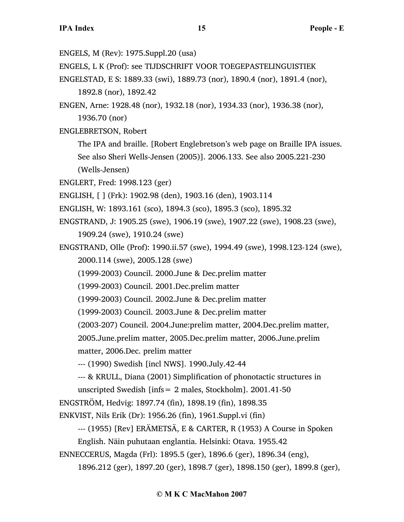ENGELS, M (Rev): 1975.Suppl.20 (usa)

ENGELS, L K (Prof): see TIJDSCHRIFT VOOR TOEGEPASTELINGUISTIEK

ENGELSTAD, E S: 1889.33 (swi), 1889.73 (nor), 1890.4 (nor), 1891.4 (nor), 1892.8 (nor), 1892.42

ENGEN, Arne: 1928.48 (nor), 1932.18 (nor), 1934.33 (nor), 1936.38 (nor), 1936.70 (nor)

ENGLEBRETSON, Robert

The IPA and braille. [Robert Englebretson's web page on Braille IPA issues. See also Sheri Wells-Jensen (2005)]. 2006.133. See also 2005.221-230 (Wells-Jensen)

ENGLERT, Fred: 1998.123 (ger)

- ENGLISH, [ ] (Frk): 1902.98 (den), 1903.16 (den), 1903.114
- ENGLISH, W: 1893.161 (sco), 1894.3 (sco), 1895.3 (sco), 1895.32
- ENGSTRAND, J: 1905.25 (swe), 1906.19 (swe), 1907.22 (swe), 1908.23 (swe), 1909.24 (swe), 1910.24 (swe)
- ENGSTRAND, Olle (Prof): 1990.ii.57 (swe), 1994.49 (swe), 1998.123-124 (swe), 2000.114 (swe), 2005.128 (swe)
	- (1999-2003) Council. 2000.June & Dec.prelim matter

(1999-2003) Council. 2001.Dec.prelim matter

(1999-2003) Council. 2002.June & Dec.prelim matter

(1999-2003) Council. 2003.June & Dec.prelim matter

(2003-207) Council. 2004.June:prelim matter, 2004.Dec.prelim matter,

2005.June.prelim matter, 2005.Dec.prelim matter, 2006.June.prelim

matter, 2006.Dec. prelim matter

--- (1990) Swedish [incl NWS]. 1990.July.42-44

--- & KRULL, Diana (2001) Simplification of phonotactic structures in unscripted Swedish [infs= 2 males, Stockholm]. 2001.41-50

ENGSTRÖM, Hedvig: 1897.74 (fin), 1898.19 (fin), 1898.35

ENKVIST, Nils Erik (Dr): 1956.26 (fin), 1961.Suppl.vi (fin)

--- (1955) [Rev] ERÄMETSÄ, E & CARTER, R (1953) A Course in Spoken

English. Näin puhutaan englantia. Helsinki: Otava. 1955.42

ENNECCERUS, Magda (Frl): 1895.5 (ger), 1896.6 (ger), 1896.34 (eng),

1896.212 (ger), 1897.20 (ger), 1898.7 (ger), 1898.150 (ger), 1899.8 (ger),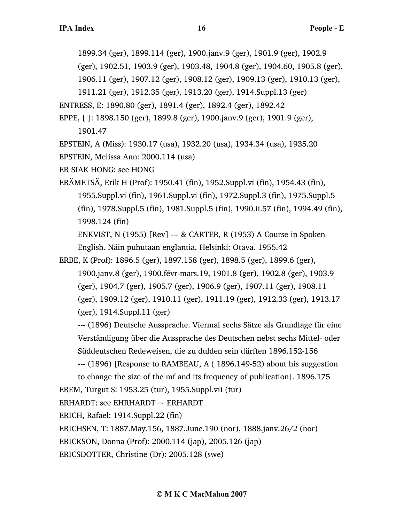1899.34 (ger), 1899.114 (ger), 1900.janv.9 (ger), 1901.9 (ger), 1902.9

(ger), 1902.51, 1903.9 (ger), 1903.48, 1904.8 (ger), 1904.60, 1905.8 (ger),

1906.11 (ger), 1907.12 (ger), 1908.12 (ger), 1909.13 (ger), 1910.13 (ger),

1911.21 (ger), 1912.35 (ger), 1913.20 (ger), 1914.Suppl.13 (ger)

ENTRESS, E: 1890.80 (ger), 1891.4 (ger), 1892.4 (ger), 1892.42

EPPE, [ ]: 1898.150 (ger), 1899.8 (ger), 1900.janv.9 (ger), 1901.9 (ger),

1901.47

EPSTEIN, A (Miss): 1930.17 (usa), 1932.20 (usa), 1934.34 (usa), 1935.20

EPSTEIN, Melissa Ann: 2000.114 (usa)

ER SIAK HONG: see HONG

ERÄMETSÄ, Erik H (Prof): 1950.41 (fin), 1952.Suppl.vi (fin), 1954.43 (fin), 1955.Suppl.vi (fin), 1961.Suppl.vi (fin), 1972.Suppl.3 (fin), 1975.Suppl.5 (fin), 1978.Suppl.5 (fin), 1981.Suppl.5 (fin), 1990.ii.57 (fin), 1994.49 (fin), 1998.124 (fin)

ENKVIST, N (1955) [Rev] --- & CARTER, R (1953) A Course in Spoken English. Näin puhutaan englantia. Helsinki: Otava. 1955.42

ERBE, K (Prof): 1896.5 (ger), 1897.158 (ger), 1898.5 (ger), 1899.6 (ger),

1900.janv.8 (ger), 1900.févr-mars.19, 1901.8 (ger), 1902.8 (ger), 1903.9 (ger), 1904.7 (ger), 1905.7 (ger), 1906.9 (ger), 1907.11 (ger), 1908.11 (ger), 1909.12 (ger), 1910.11 (ger), 1911.19 (ger), 1912.33 (ger), 1913.17 (ger), 1914.Suppl.11 (ger)

--- (1896) Deutsche Aussprache. Viermal sechs Sätze als Grundlage für eine Verständigung über die Aussprache des Deutschen nebst sechs Mittel- oder Süddeutschen Redeweisen, die zu dulden sein dürften 1896.152-156

--- (1896) [Response to RAMBEAU, A ( 1896.149-52) about his suggestion to change the size of the mf and its frequency of publication]. 1896.175

EREM, Turgut S: 1953.25 (tur), 1955.Suppl.vii (tur)

ERHARDT: see EHRHARDT  $\sim$  ERHARDT

ERICH, Rafael: 1914.Suppl.22 (fin)

ERICHSEN, T: 1887.May.156, 1887.June.190 (nor), 1888.janv.26/2 (nor)

ERICKSON, Donna (Prof): 2000.114 (jap), 2005.126 (jap)

ERICSDOTTER, Christine (Dr): 2005.128 (swe)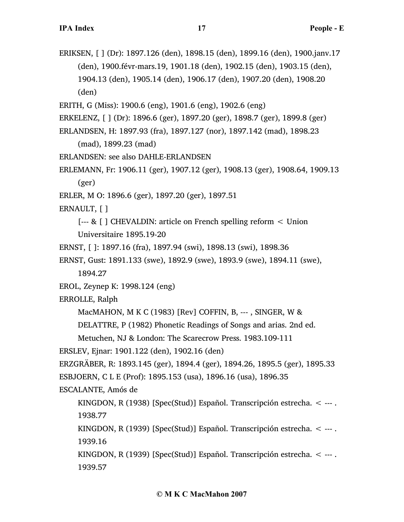ERIKSEN, [ ] (Dr): 1897.126 (den), 1898.15 (den), 1899.16 (den), 1900.janv.17 (den), 1900.févr-mars.19, 1901.18 (den), 1902.15 (den), 1903.15 (den), 1904.13 (den), 1905.14 (den), 1906.17 (den), 1907.20 (den), 1908.20 (den)

ERITH, G (Miss): 1900.6 (eng), 1901.6 (eng), 1902.6 (eng)

ERKELENZ, [ ] (Dr): 1896.6 (ger), 1897.20 (ger), 1898.7 (ger), 1899.8 (ger)

```
ERLANDSEN, H: 1897.93 (fra), 1897.127 (nor), 1897.142 (mad), 1898.23
```
(mad), 1899.23 (mad)

ERLANDSEN: see also DAHLE-ERLANDSEN

ERLEMANN, Fr: 1906.11 (ger), 1907.12 (ger), 1908.13 (ger), 1908.64, 1909.13 (ger)

ERLER, M O: 1896.6 (ger), 1897.20 (ger), 1897.51

ERNAULT, [ ]

[--- & [ ] CHEVALDIN: article on French spelling reform < Union Universitaire 1895.19-20

ERNST, [ ]: 1897.16 (fra), 1897.94 (swi), 1898.13 (swi), 1898.36

ERNST, Gust: 1891.133 (swe), 1892.9 (swe), 1893.9 (swe), 1894.11 (swe),

1894.27

EROL, Zeynep K: 1998.124 (eng)

ERROLLE, Ralph

MacMAHON, M K C (1983) [Rev] COFFIN, B, --- , SINGER, W &

DELATTRE, P (1982) Phonetic Readings of Songs and arias. 2nd ed.

Metuchen, NJ & London: The Scarecrow Press. 1983.109-111

ERSLEV, Ejnar: 1901.122 (den), 1902.16 (den)

ERZGRÄBER, R: 1893.145 (ger), 1894.4 (ger), 1894.26, 1895.5 (ger), 1895.33

ESBJOERN, C L E (Prof): 1895.153 (usa), 1896.16 (usa), 1896.35

ESCALANTE, Amós de

KINGDON, R (1938) [Spec(Stud)] Español. Transcripción estrecha. < --- . 1938.77

KINGDON, R (1939) [Spec(Stud)] Español. Transcripción estrecha. < --- . 1939.16

KINGDON, R (1939) [Spec(Stud)] Español. Transcripción estrecha. < --- . 1939.57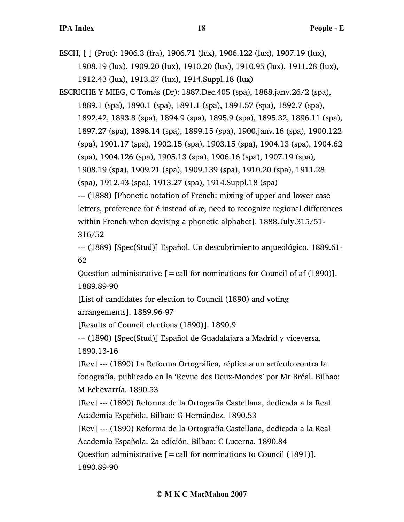ESCH, [ ] (Prof): 1906.3 (fra), 1906.71 (lux), 1906.122 (lux), 1907.19 (lux), 1908.19 (lux), 1909.20 (lux), 1910.20 (lux), 1910.95 (lux), 1911.28 (lux), 1912.43 (lux), 1913.27 (lux), 1914.Suppl.18 (lux)

ESCRICHE Y MIEG, C Tomás (Dr): 1887.Dec.405 (spa), 1888.janv.26/2 (spa), 1889.1 (spa), 1890.1 (spa), 1891.1 (spa), 1891.57 (spa), 1892.7 (spa), 1892.42, 1893.8 (spa), 1894.9 (spa), 1895.9 (spa), 1895.32, 1896.11 (spa), 1897.27 (spa), 1898.14 (spa), 1899.15 (spa), 1900.janv.16 (spa), 1900.122 (spa), 1901.17 (spa), 1902.15 (spa), 1903.15 (spa), 1904.13 (spa), 1904.62 (spa), 1904.126 (spa), 1905.13 (spa), 1906.16 (spa), 1907.19 (spa), 1908.19 (spa), 1909.21 (spa), 1909.139 (spa), 1910.20 (spa), 1911.28 (spa), 1912.43 (spa), 1913.27 (spa), 1914.Suppl.18 (spa)

--- (1888) [Phonetic notation of French: mixing of upper and lower case letters, preference for é instead of æ, need to recognize regional differences within French when devising a phonetic alphabet]. 1888.July.315/51- 316/52

--- (1889) [Spec(Stud)] Español. Un descubrimiento arqueológico. 1889.61- 62

Question administrative  $[=$  call for nominations for Council of af  $(1890)$ ]. 1889.89-90

[List of candidates for election to Council (1890) and voting arrangements]. 1889.96-97

[Results of Council elections (1890)]. 1890.9

--- (1890) [Spec(Stud)] Español de Guadalajara a Madrid y viceversa. 1890.13-16

[Rev] --- (1890) La Reforma Ortográfica, réplica a un artículo contra la fonografía, publicado en la 'Revue des Deux-Mondes' por Mr Bréal. Bilbao: M Echevarría. 1890.53

[Rev] --- (1890) Reforma de la Ortografía Castellana, dedicada a la Real Academia Española. Bilbao: G Hernández. 1890.53

[Rev] --- (1890) Reforma de la Ortografía Castellana, dedicada a la Real Academia Española. 2a edición. Bilbao: C Lucerna. 1890.84

Question administrative  $[$  = call for nominations to Council (1891)]. 1890.89-90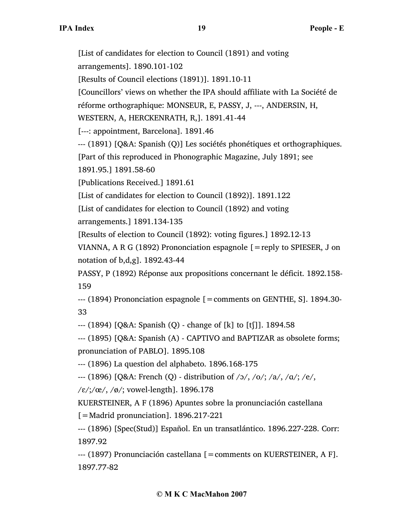[List of candidates for election to Council (1891) and voting arrangements]. 1890.101-102 [Results of Council elections (1891)]. 1891.10-11 [Councillors' views on whether the IPA should affiliate with La Société de réforme orthographique: MONSEUR, E, PASSY, J, ---, ANDERSIN, H, WESTERN, A, HERCKENRATH, R,]. 1891.41-44 [---: appointment, Barcelona]. 1891.46 --- (1891) [Q&A: Spanish (Q)] Les sociétés phonétiques et orthographiques. [Part of this reproduced in Phonographic Magazine, July 1891; see 1891.95.] 1891.58-60 [Publications Received.] 1891.61 [List of candidates for election to Council (1892)]. 1891.122 [List of candidates for election to Council (1892) and voting arrangements.] 1891.134-135 [Results of election to Council (1892): voting figures.] 1892.12-13 VIANNA, A R G (1892) Prononciation espagnole  $[=$ reply to SPIESER, J on notation of b,d,g]. 1892.43-44 PASSY, P (1892) Réponse aux propositions concernant le déficit. 1892.158- 159 --- (1894) Prononciation espagnole [=comments on GENTHE, S]. 1894.30- 33 --- (1894) [Q&A: Spanish (Q) - change of [k] to [tʃ]]. 1894.58

--- (1895) [Q&A: Spanish (A) - CAPTIVO and BAPTIZAR as obsolete forms; pronunciation of PABLO]. 1895.108

--- (1896) La question del alphabeto. 1896.168-175

--- (1896) [Q&A: French (Q) - distribution of /ɔ/, /o/; /a/, /ɑ/; /e/,

 $/\varepsilon$ /;/œ/, /ø/; vowel-length]. 1896.178

KUERSTEINER, A F (1896) Apuntes sobre la pronunciación castellana

 $\mathcal{L}$  = Madrid pronunciation]. 1896.217-221

--- (1896) [Spec(Stud)] Español. En un transatlántico. 1896.227-228. Corr: 1897.92

--- (1897) Pronunciación castellana [=comments on KUERSTEINER, A F]. 1897.77-82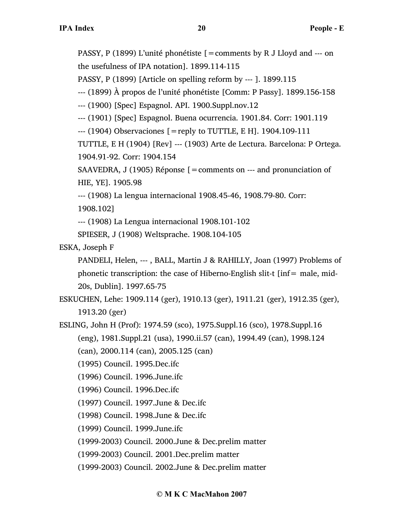PASSY, P (1899) L'unité phonétiste [=comments by R J Lloyd and --- on the usefulness of IPA notation]. 1899.114-115

PASSY, P (1899) [Article on spelling reform by --- ]. 1899.115

--- (1899) À propos de l'unité phonétiste [Comm: P Passy]. 1899.156-158

--- (1900) [Spec] Espagnol. API. 1900.Suppl.nov.12

--- (1901) [Spec] Espagnol. Buena ocurrencia. 1901.84. Corr: 1901.119

 $-$ --- (1904) Observaciones  $[$  = reply to TUTTLE, E H], 1904.109-111

TUTTLE, E H (1904) [Rev] --- (1903) Arte de Lectura. Barcelona: P Ortega. 1904.91-92. Corr: 1904.154

SAAVEDRA, J (1905) Réponse [=comments on --- and pronunciation of HIE, YE]. 1905.98

--- (1908) La lengua internacional 1908.45-46, 1908.79-80. Corr:

1908.102]

--- (1908) La Lengua internacional 1908.101-102

SPIESER, J (1908) Weltsprache. 1908.104-105

ESKA, Joseph F

PANDELI, Helen, --- , BALL, Martin J & RAHILLY, Joan (1997) Problems of phonetic transcription: the case of Hiberno-English slit-t [inf= male, mid-20s, Dublin]. 1997.65-75

ESKUCHEN, Lehe: 1909.114 (ger), 1910.13 (ger), 1911.21 (ger), 1912.35 (ger), 1913.20 (ger)

- ESLING, John H (Prof): 1974.59 (sco), 1975.Suppl.16 (sco), 1978.Suppl.16 (eng), 1981.Suppl.21 (usa), 1990.ii.57 (can), 1994.49 (can), 1998.124
	- (can), 2000.114 (can), 2005.125 (can)
	- (1995) Council. 1995.Dec.ifc
	- (1996) Council. 1996.June.ifc
	- (1996) Council. 1996.Dec.ifc
	- (1997) Council. 1997.June & Dec.ifc
	- (1998) Council. 1998.June & Dec.ifc
	- (1999) Council. 1999.June.ifc
	- (1999-2003) Council. 2000.June & Dec.prelim matter
	- (1999-2003) Council. 2001.Dec.prelim matter

(1999-2003) Council. 2002.June & Dec.prelim matter

# **© M K C MacMahon 2007**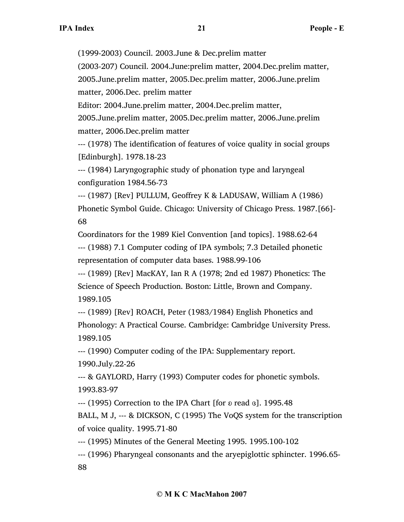(1999-2003) Council. 2003.June & Dec.prelim matter

(2003-207) Council. 2004.June:prelim matter, 2004.Dec.prelim matter,

2005.June.prelim matter, 2005.Dec.prelim matter, 2006.June.prelim matter, 2006.Dec. prelim matter

Editor: 2004.June.prelim matter, 2004.Dec.prelim matter,

2005.June.prelim matter, 2005.Dec.prelim matter, 2006.June.prelim matter, 2006.Dec.prelim matter

--- (1978) The identification of features of voice quality in social groups [Edinburgh]. 1978.18-23

--- (1984) Laryngographic study of phonation type and laryngeal configuration 1984.56-73

--- (1987) [Rev] PULLUM, Geoffrey K & LADUSAW, William A (1986) Phonetic Symbol Guide. Chicago: University of Chicago Press. 1987.[66]- 68

Coordinators for the 1989 Kiel Convention [and topics]. 1988.62-64 --- (1988) 7.1 Computer coding of IPA symbols; 7.3 Detailed phonetic representation of computer data bases. 1988.99-106

--- (1989) [Rev] MacKAY, Ian R A (1978; 2nd ed 1987) Phonetics: The Science of Speech Production. Boston: Little, Brown and Company. 1989.105

--- (1989) [Rev] ROACH, Peter (1983/1984) English Phonetics and Phonology: A Practical Course. Cambridge: Cambridge University Press. 1989.105

--- (1990) Computer coding of the IPA: Supplementary report. 1990.July.22-26

--- & GAYLORD, Harry (1993) Computer codes for phonetic symbols. 1993.83-97

--- (1995) Correction to the IPA Chart [for  $\delta$  read  $\delta$ ]. 1995.48

BALL, M J, --- & DICKSON, C (1995) The VoQS system for the transcription of voice quality. 1995.71-80

--- (1995) Minutes of the General Meeting 1995. 1995.100-102

--- (1996) Pharyngeal consonants and the aryepiglottic sphincter. 1996.65- 88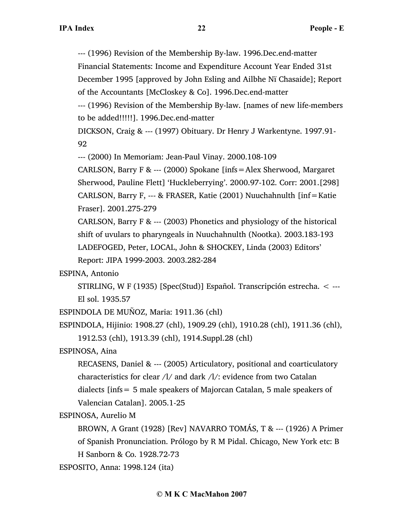--- (1996) Revision of the Membership By-law. 1996.Dec.end-matter Financial Statements: Income and Expenditure Account Year Ended 31st December 1995 [approved by John Esling and Ailbhe Nï Chasaide]; Report of the Accountants [McCloskey & Co]. 1996.Dec.end-matter

--- (1996) Revision of the Membership By-law. [names of new life-members to be added!!!!!]. 1996.Dec.end-matter

DICKSON, Craig & --- (1997) Obituary. Dr Henry J Warkentyne. 1997.91- 92

--- (2000) In Memoriam: Jean-Paul Vinay. 2000.108-109

CARLSON, Barry F & --- (2000) Spokane [infs=Alex Sherwood, Margaret Sherwood, Pauline Flett] 'Huckleberrying'. 2000.97-102. Corr: 2001.[298] CARLSON, Barry F, --- & FRASER, Katie (2001) Nuuchahnulth [inf=Katie Fraser]. 2001.275-279

CARLSON, Barry F & --- (2003) Phonetics and physiology of the historical shift of uvulars to pharyngeals in Nuuchahnulth (Nootka). 2003.183-193 LADEFOGED, Peter, LOCAL, John & SHOCKEY, Linda (2003) Editors' Report: JIPA 1999-2003. 2003.282-284

ESPINA, Antonio

STIRLING, W F (1935) [Spec(Stud)] Español. Transcripción estrecha. < --- El sol. 1935.57

ESPINDOLA DE MUÑOZ, Maria: 1911.36 (chl)

```
ESPINDOLA, Hijinio: 1908.27 (chl), 1909.29 (chl), 1910.28 (chl), 1911.36 (chl),
1912.53 (chl), 1913.39 (chl), 1914.Suppl.28 (chl)
```
ESPINOSA, Aina

RECASENS, Daniel & --- (2005) Articulatory, positional and coarticulatory characteristics for clear /l/ and dark /l/: evidence from two Catalan dialects [infs= 5 male speakers of Majorcan Catalan, 5 male speakers of Valencian Catalan]. 2005.1-25

ESPINOSA, Aurelio M

BROWN, A Grant (1928) [Rev] NAVARRO TOMÁS, T & --- (1926) A Primer of Spanish Pronunciation. Prólogo by R M Pidal. Chicago, New York etc: B H Sanborn & Co. 1928.72-73

ESPOSITO, Anna: 1998.124 (ita)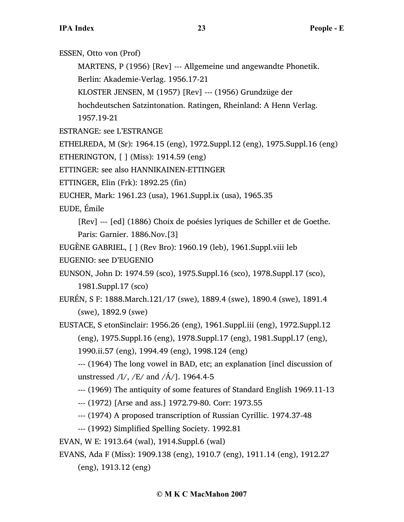ESSEN, Otto von (Prof)

MARTENS, P (1956) [Rev] --- Allgemeine und angewandte Phonetik.

Berlin: Akademie-Verlag. 1956.17-21

KLOSTER JENSEN, M (1957) [Rev] --- (1956) Grundzüge der

hochdeutschen Satzintonation. Ratingen, Rheinland: A Henn Verlag.

1957.19-21

ESTRANGE: see L'ESTRANGE

ETHELREDA, M (Sr): 1964.15 (eng), 1972.Suppl.12 (eng), 1975.Suppl.16 (eng)

ETHERINGTON, [ ] (Miss): 1914.59 (eng)

ETTINGER: see also HANNIKAINEN-ETTINGER

ETTINGER, Elin (Frk): 1892.25 (fin)

EUCHER, Mark: 1961.23 (usa), 1961.Suppl.ix (usa), 1965.35

EUDE, Émile

[Rev] --- [ed] (1886) Choix de poésies lyriques de Schiller et de Goethe. Paris: Garnier. 1886.Nov.[3]

EUGÈNE GABRIEL, [ ] (Rev Bro): 1960.19 (leb), 1961.Suppl.viii leb

EUGENIO: see D'EUGENIO

EUNSON, John D: 1974.59 (sco), 1975.Suppl.16 (sco), 1978.Suppl.17 (sco), 1981.Suppl.17 (sco)

EURÉN, S F: 1888.March.121/17 (swe), 1889.4 (swe), 1890.4 (swe), 1891.4 (swe), 1892.9 (swe)

EUSTACE, S etonSinclair: 1956.26 (eng), 1961.Suppl.iii (eng), 1972.Suppl.12 (eng), 1975.Suppl.16 (eng), 1978.Suppl.17 (eng), 1981.Suppl.17 (eng),

1990.ii.57 (eng), 1994.49 (eng), 1998.124 (eng)

--- (1964) The long vowel in BAD, etc; an explanation [incl discussion of unstressed  $/I/$ ,  $/E/$  and  $/A/$ ]. 1964.4-5

--- (1969) The antiquity of some features of Standard English 1969.11-13

--- (1972) [Arse and ass.] 1972.79-80. Corr: 1973.55

--- (1974) A proposed transcription of Russian Cyrillic. 1974.37-48

--- (1992) Simplified Spelling Society. 1992.81

EVAN, W E: 1913.64 (wal), 1914.Suppl.6 (wal)

EVANS, Ada F (Miss): 1909.138 (eng), 1910.7 (eng), 1911.14 (eng), 1912.27 (eng), 1913.12 (eng)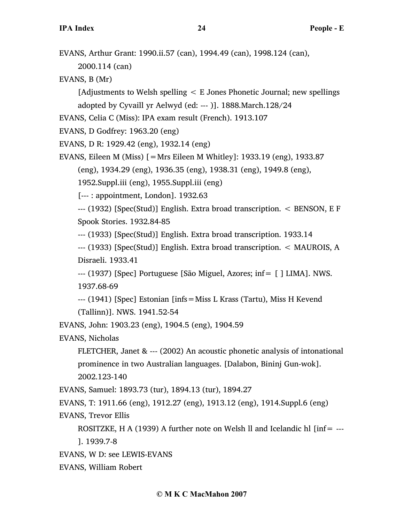EVANS, Arthur Grant: 1990.ii.57 (can), 1994.49 (can), 1998.124 (can), 2000.114 (can)

EVANS, B (Mr)

[Adjustments to Welsh spelling < E Jones Phonetic Journal; new spellings adopted by Cyvaill yr Aelwyd (ed: --- )]. 1888.March.128/24

EVANS, Celia C (Miss): IPA exam result (French). 1913.107

EVANS, D Godfrey: 1963.20 (eng)

EVANS, D R: 1929.42 (eng), 1932.14 (eng)

EVANS, Eileen M (Miss)  $[=Mrs]$  Eileen M Whitley]: 1933.19 (eng), 1933.87 (eng), 1934.29 (eng), 1936.35 (eng), 1938.31 (eng), 1949.8 (eng),

1952.Suppl.iii (eng), 1955.Suppl.iii (eng)

[--- : appointment, London]. 1932.63

--- (1932) [Spec(Stud)] English. Extra broad transcription. < BENSON, E F Spook Stories. 1932.84-85

--- (1933) [Spec(Stud)] English. Extra broad transcription. 1933.14

--- (1933) [Spec(Stud)] English. Extra broad transcription. < MAUROIS, A Disraeli. 1933.41

--- (1937) [Spec] Portuguese [São Miguel, Azores; inf= [ ] LIMA]. NWS. 1937.68-69

--- (1941) [Spec] Estonian [infs=Miss L Krass (Tartu), Miss H Kevend (Tallinn)]. NWS. 1941.52-54

EVANS, John: 1903.23 (eng), 1904.5 (eng), 1904.59

EVANS, Nicholas

FLETCHER, Janet & --- (2002) An acoustic phonetic analysis of intonational prominence in two Australian languages. [Dalabon, Bininj Gun-wok]. 2002.123-140

EVANS, Samuel: 1893.73 (tur), 1894.13 (tur), 1894.27

EVANS, T: 1911.66 (eng), 1912.27 (eng), 1913.12 (eng), 1914.Suppl.6 (eng)

EVANS, Trevor Ellis

ROSITZKE, H A (1939) A further note on Welsh ll and Icelandic hl  $\text{linf} =$  ---

]. 1939.7-8

EVANS, W D: see LEWIS-EVANS

EVANS, William Robert

## **© M K C MacMahon 2007**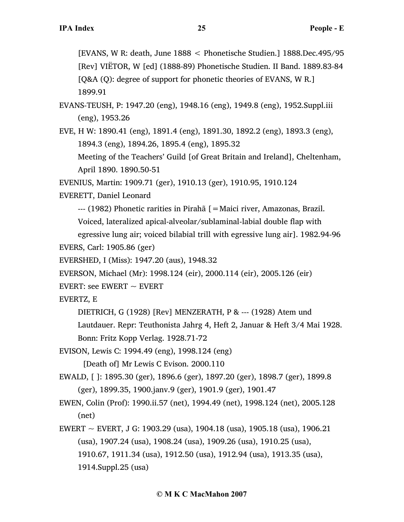[EVANS, W R: death, June 1888 < Phonetische Studien.] 1888.Dec.495/95 [Rev] VIËTOR, W [ed] (1888-89) Phonetische Studien. II Band. 1889.83-84 [Q&A (Q): degree of support for phonetic theories of EVANS, W R.] 1899.91

EVANS-TEUSH, P: 1947.20 (eng), 1948.16 (eng), 1949.8 (eng), 1952.Suppl.iii (eng), 1953.26

EVE, H W: 1890.41 (eng), 1891.4 (eng), 1891.30, 1892.2 (eng), 1893.3 (eng), 1894.3 (eng), 1894.26, 1895.4 (eng), 1895.32

Meeting of the Teachers' Guild [of Great Britain and Ireland], Cheltenham, April 1890. 1890.50-51

EVENIUS, Martin: 1909.71 (ger), 1910.13 (ger), 1910.95, 1910.124

EVERETT, Daniel Leonard

--- (1982) Phonetic rarities in Pirahã [=Maici river, Amazonas, Brazil.

Voiced, lateralized apical-alveolar/sublaminal-labial double flap with

egressive lung air; voiced bilabial trill with egressive lung air]. 1982.94-96 EVERS, Carl: 1905.86 (ger)

EVERSHED, I (Miss): 1947.20 (aus), 1948.32

EVERSON, Michael (Mr): 1998.124 (eir), 2000.114 (eir), 2005.126 (eir)

EVERT: see EWERT  $\sim$  EVERT

EVERTZ, E

DIETRICH, G (1928) [Rev] MENZERATH, P & --- (1928) Atem und

Lautdauer. Repr: Teuthonista Jahrg 4, Heft 2, Januar & Heft 3/4 Mai 1928. Bonn: Fritz Kopp Verlag. 1928.71-72

EVISON, Lewis C: 1994.49 (eng), 1998.124 (eng)

[Death of] Mr Lewis C Evison. 2000.110

EWALD, [ ]: 1895.30 (ger), 1896.6 (ger), 1897.20 (ger), 1898.7 (ger), 1899.8 (ger), 1899.35, 1900.janv.9 (ger), 1901.9 (ger), 1901.47

EWEN, Colin (Prof): 1990.ii.57 (net), 1994.49 (net), 1998.124 (net), 2005.128 (net)

EWERT  $\sim$  EVERT, J G: 1903.29 (usa), 1904.18 (usa), 1905.18 (usa), 1906.21 (usa), 1907.24 (usa), 1908.24 (usa), 1909.26 (usa), 1910.25 (usa), 1910.67, 1911.34 (usa), 1912.50 (usa), 1912.94 (usa), 1913.35 (usa), 1914.Suppl.25 (usa)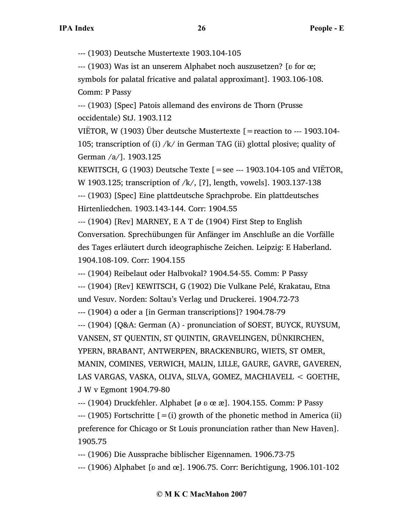--- (1903) Deutsche Mustertexte 1903.104-105

--- (1903) Was ist an unserem Alphabet noch auszusetzen? [ʚ for œ; symbols for palatal fricative and palatal approximant]. 1903.106-108. Comm: P Passy

--- (1903) [Spec] Patois allemand des environs de Thorn (Prusse occidentale) StJ. 1903.112

VIËTOR, W (1903) Über deutsche Mustertexte  $=$  reaction to --- 1903.104-105; transcription of (i) /k/ in German TAG (ii) glottal plosive; quality of German /a/]. 1903.125

KEWITSCH, G (1903) Deutsche Texte  $=$  see --- 1903.104-105 and VIETOR, W 1903.125; transcription of /k/, [?], length, vowels]. 1903.137-138 --- (1903) [Spec] Eine plattdeutsche Sprachprobe. Ein plattdeutsches Hirtenliedchen. 1903.143-144. Corr: 1904.55

--- (1904) [Rev] MARNEY, E A T de (1904) First Step to English Conversation. Sprechübungen für Anfänger im Anschluße an die Vorfälle des Tages erläutert durch ideographische Zeichen. Leipzig: E Haberland. 1904.108-109. Corr: 1904.155

--- (1904) Reibelaut oder Halbvokal? 1904.54-55. Comm: P Passy

--- (1904) [Rev] KEWITSCH, G (1902) Die Vulkane Pelé, Krakatau, Etna und Vesuv. Norden: Soltau's Verlag und Druckerei. 1904.72-73

--- (1904) ɑ oder a [in German transcriptions]? 1904.78-79

--- (1904) [Q&A: German (A) - pronunciation of SOEST, BUYCK, RUYSUM, VANSEN, ST QUENTIN, ST QUINTIN, GRAVELINGEN, DÜNKIRCHEN, YPERN, BRABANT, ANTWERPEN, BRACKENBURG, WIETS, ST OMER, MANIN, COMINES, VERWICH, MALIN, LILLE, GAURE, GAVRE, GAVEREN, LAS VARGAS, VASKA, OLIVA, SILVA, GOMEZ, MACHIAVELL < GOETHE, J W v Egmont 1904.79-80

--- (1904) Druckfehler. Alphabet [*ø* ʚ œ æ]. 1904.155. Comm: P Passy  $-$ -- (1905) Fortschritte  $[=(i)$  growth of the phonetic method in America (ii) preference for Chicago or St Louis pronunciation rather than New Haven]. 1905.75

--- (1906) Die Aussprache biblischer Eigennamen. 1906.73-75

--- (1906) Alphabet [ʚ and œ]. 1906.75. Corr: Berichtigung, 1906.101-102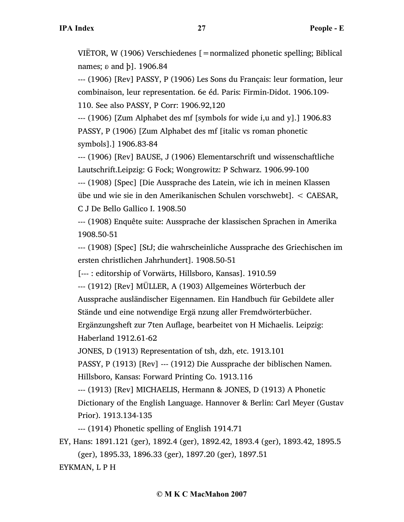VIËTOR, W (1906) Verschiedenes [=normalized phonetic spelling; Biblical names;  $\delta$  and  $\delta$ ]. 1906.84

--- (1906) [Rev] PASSY, P (1906) Les Sons du Français: leur formation, leur combinaison, leur representation. 6e éd. Paris: Firmin-Didot. 1906.109- 110. See also PASSY, P Corr: 1906.92,120

--- (1906) [Zum Alphabet des mf [symbols for wide i,u and y].] 1906.83 PASSY, P (1906) [Zum Alphabet des mf [italic vs roman phonetic symbols].] 1906.83-84

--- (1906) [Rev] BAUSE, J (1906) Elementarschrift und wissenschaftliche Lautschrift.Leipzig: G Fock; Wongrowitz: P Schwarz. 1906.99-100

--- (1908) [Spec] [Die Aussprache des Latein, wie ich in meinen Klassen übe und wie sie in den Amerikanischen Schulen vorschwebt]. < CAESAR, C J De Bello Gallico I. 1908.50

--- (1908) Enquête suite: Aussprache der klassischen Sprachen in Amerika 1908.50-51

--- (1908) [Spec] [StJ; die wahrscheinliche Aussprache des Griechischen im ersten christlichen Jahrhundert]. 1908.50-51

[--- : editorship of Vorwärts, Hillsboro, Kansas]. 1910.59

--- (1912) [Rev] MÜLLER, A (1903) Allgemeines Wörterbuch der Aussprache ausländischer Eigennamen. Ein Handbuch für Gebildete aller Stände und eine notwendige Ergä nzung aller Fremdwörterbücher. Ergänzungsheft zur 7ten Auflage, bearbeitet von H Michaelis. Leipzig:

Haberland 1912.61-62

JONES, D (1913) Representation of tsh, dzh, etc. 1913.101

PASSY, P (1913) [Rev] --- (1912) Die Aussprache der biblischen Namen.

Hillsboro, Kansas: Forward Printing Co. 1913.116

--- (1913) [Rev] MICHAELIS, Hermann & JONES, D (1913) A Phonetic

Dictionary of the English Language. Hannover & Berlin: Carl Meyer (Gustav Prior). 1913.134-135

--- (1914) Phonetic spelling of English 1914.71

EY, Hans: 1891.121 (ger), 1892.4 (ger), 1892.42, 1893.4 (ger), 1893.42, 1895.5 (ger), 1895.33, 1896.33 (ger), 1897.20 (ger), 1897.51

EYKMAN, L P H